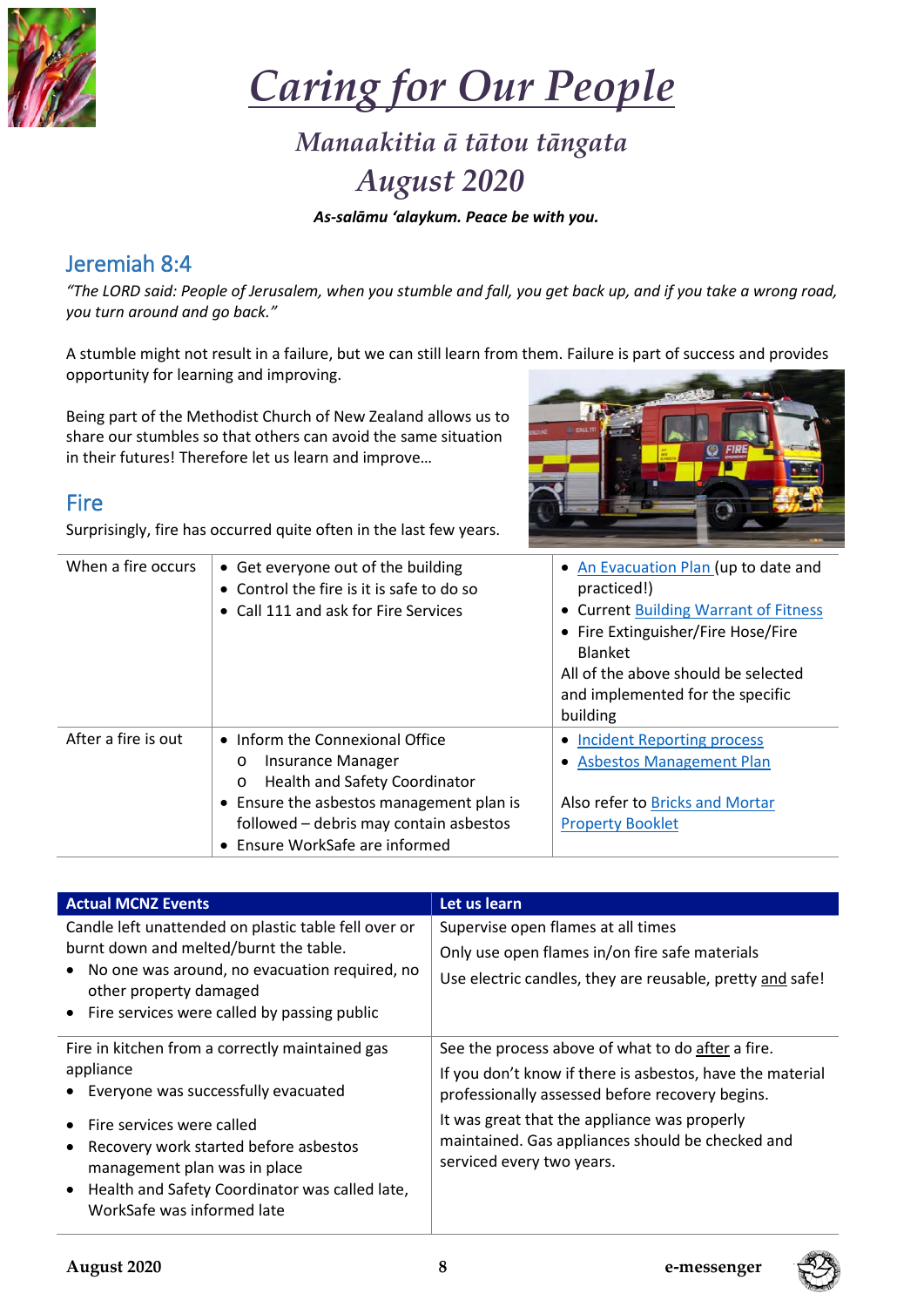

*Caring for Our People*

# *Manaakitia ā tātou tāngata August 2020*

*As-salāmu 'alaykum. Peace be with you.*

## Jeremiah 8:4

*"The LORD said: People of Jerusalem, when you stumble and fall, you get back up, and if you take a wrong road, you turn around and go back."*

A stumble might not result in a failure, but we can still learn from them. Failure is part of success and provides opportunity for learning and improving.

Being part of the Methodist Church of New Zealand allows us to share our stumbles so that others can avoid the same situation in their futures! Therefore let us learn and improve…

### Fire

Surprisingly, fire has occurred quite often in the last few years.



| When a fire occurs  | • Get everyone out of the building<br>• Control the fire is it is safe to do so<br>• Call 111 and ask for Fire Services                                                                                                                    | • An Evacuation Plan (up to date and<br>practiced!)<br>• Current Building Warrant of Fitness<br>• Fire Extinguisher/Fire Hose/Fire<br><b>Blanket</b><br>All of the above should be selected<br>and implemented for the specific<br>building |
|---------------------|--------------------------------------------------------------------------------------------------------------------------------------------------------------------------------------------------------------------------------------------|---------------------------------------------------------------------------------------------------------------------------------------------------------------------------------------------------------------------------------------------|
| After a fire is out | • Inform the Connexional Office<br>Insurance Manager<br>$\circ$<br><b>Health and Safety Coordinator</b><br>$\circ$<br>• Ensure the asbestos management plan is<br>followed - debris may contain asbestos<br>• Ensure WorkSafe are informed | • Incident Reporting process<br>• Asbestos Management Plan<br>Also refer to Bricks and Mortar<br><b>Property Booklet</b>                                                                                                                    |

| <b>Actual MCNZ Events</b>                                                                                                                                                                                                  | Let us learn                                                                                                                                                      |
|----------------------------------------------------------------------------------------------------------------------------------------------------------------------------------------------------------------------------|-------------------------------------------------------------------------------------------------------------------------------------------------------------------|
| Candle left unattended on plastic table fell over or<br>burnt down and melted/burnt the table.<br>No one was around, no evacuation required, no<br>other property damaged<br>• Fire services were called by passing public | Supervise open flames at all times<br>Only use open flames in/on fire safe materials<br>Use electric candles, they are reusable, pretty and safe!                 |
| Fire in kitchen from a correctly maintained gas<br>appliance<br>Everyone was successfully evacuated                                                                                                                        | See the process above of what to do after a fire.<br>If you don't know if there is asbestos, have the material<br>professionally assessed before recovery begins. |
| Fire services were called<br>Recovery work started before asbestos<br>management plan was in place<br>• Health and Safety Coordinator was called late,<br>WorkSafe was informed late                                       | It was great that the appliance was properly<br>maintained. Gas appliances should be checked and<br>serviced every two years.                                     |